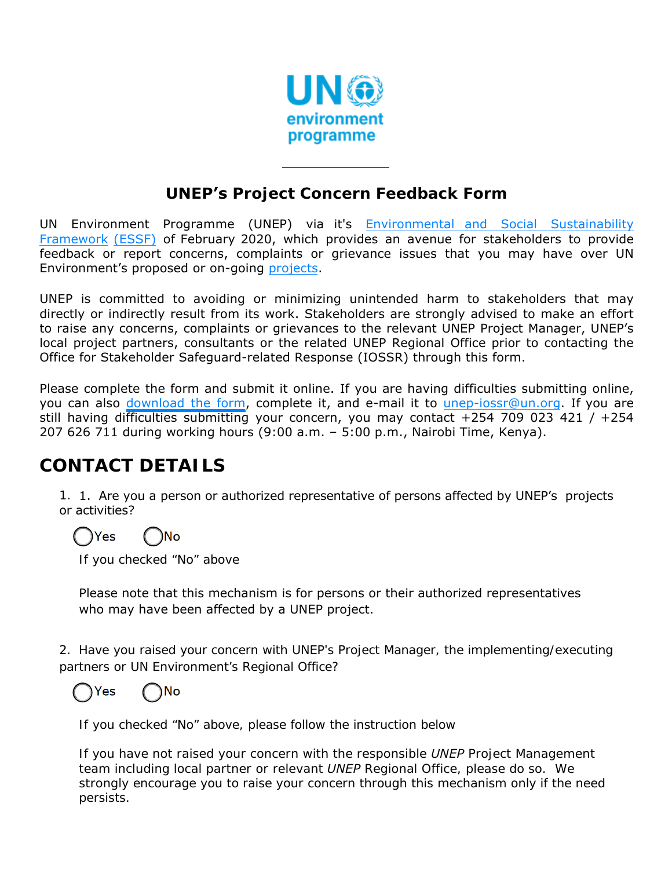

#### **UNEP's Project Concern Feedback Form**

UN Environment [Programme \(UNEP\)](https://www.unenvironment.org/resources/report/un-environments-environmental-social-and-economic-sustainability-framework) via it's Environmental and Social Sustainability Framework (ESSF) of February 2020, which provides an avenue for stakeholders to provide feedback or report concerns, complaints or grievance issues that you may have over UN Environment's proposed or on-going [projects.](http://open.unep.org/)

UNEP is committed to avoiding or minimizing unintended harm to stakeholders that may directly or indirectly result from its work. Stakeholders are strongly advised to make an effort to raise any concerns, complaints or grievances to the relevant UNEP Project Manager, UNEP's local project partners, consultants or the related UNEP Regional Office prior to contacting the Office for Stakeholder Safeguard-related Response (IOSSR) through this form.

Please complete the form and submit it online. If you are having difficulties submitting online, you can also [download](http://wedocs.unep.org/handle/20.500.11822/14115) the form, complete it, and e-mail it to unep-iossr@un.org. If you are still having difficulties submitting your concern, you may contact +254 709 023 421 / +254 207 626 711 during working hours (9:00 a.m. – 5:00 p.m., Nairobi Time, Kenya).

## **CONTACT DETAILS**

1. 1. Are you a person or authorized representative of persons affected by UNEP's projects or activities?

## Yes

If you checked "No" above

Please note that this mechanism is for persons or their authorized representatives who may have been affected by a UNEP project.

2. Have you raised your concern with UNEP's Project Manager, the implementing/executing partners or UN Environment's Regional Office?



If you checked "No" above, please follow the instruction below

*If you have not raised your concern with the responsible UNEP Project Management team including local partner or relevant UNEP Regional Office, please do so. We strongly encourage you to raise your concern through this mechanism only if the need persists.*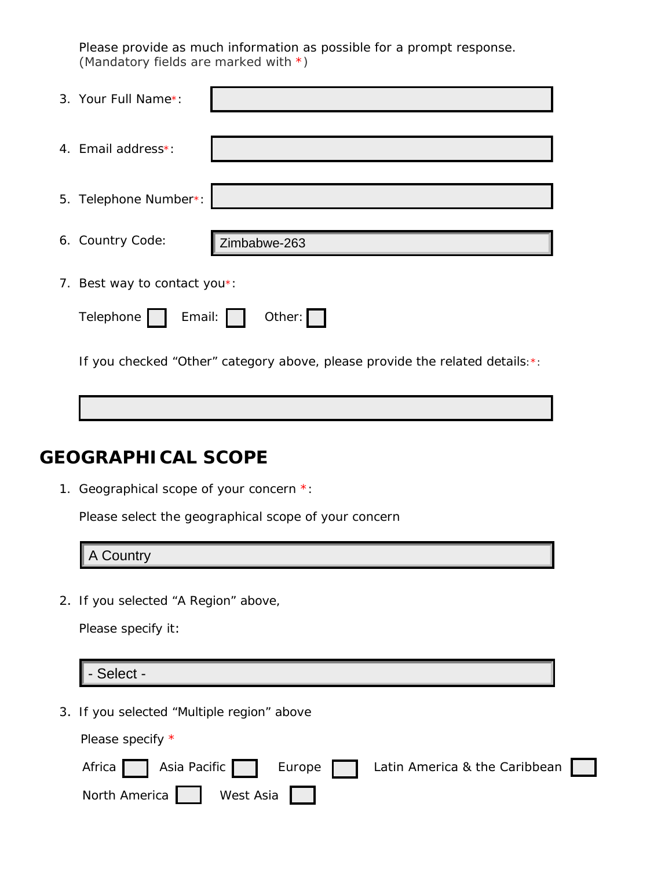Please provide as much information as possible for a prompt response. (Mandatory fields are marked with \*)

| 3. Your Full Name*:          |                                                                               |
|------------------------------|-------------------------------------------------------------------------------|
| 4. Email address*:           |                                                                               |
| 5. Telephone Number*:        |                                                                               |
| 6. Country Code:             | Zimbabwe-263                                                                  |
| 7. Best way to contact you*: |                                                                               |
| Email:  <br>Telephone        | Other: $\vert \vert$                                                          |
|                              | If you checked "Other" category above, please provide the related details: *: |

### **GEOGRAPHICAL SCOPE**

1. Geographical scope of your concern \*:

Please select the geographical scope of your concern

A Country

2. If you selected "A Region" above,

Please specify it:

- Select -

3. If you selected "Multiple region" above

Please specify \*

|                         |  |  | Africa Asia Pacific   Europe   Latin America & the Caribbean |  |
|-------------------------|--|--|--------------------------------------------------------------|--|
| North America Nest Asia |  |  |                                                              |  |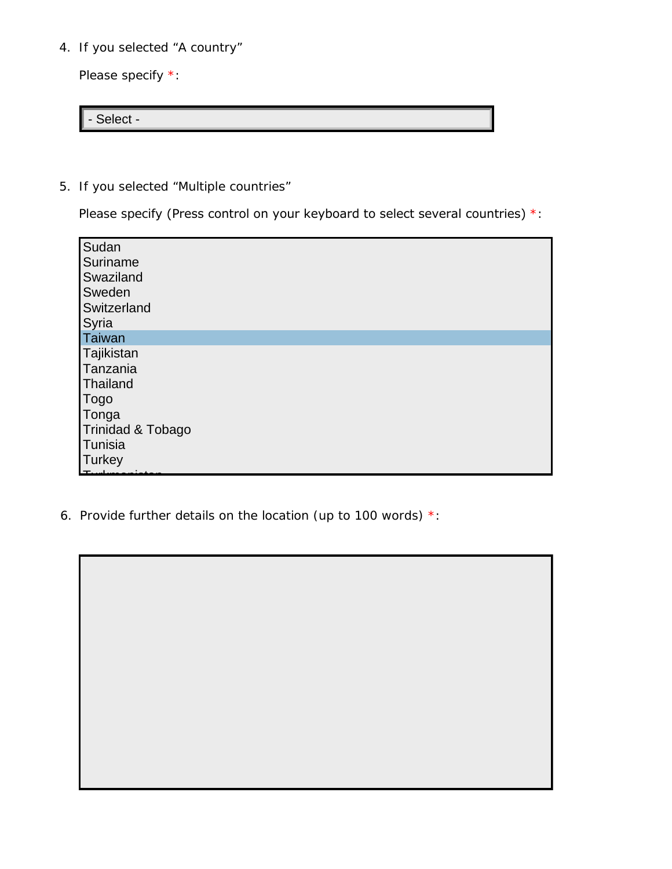4. If you selected "A country"

Please specify \*:

- Select -

5. If you selected "Multiple countries"

Please specify (Press control on your keyboard to select several countries) \*:

| Sudan<br>Suriname<br>Swaziland<br>Sweden<br>Switzerland |
|---------------------------------------------------------|
| Syria                                                   |
| Taiwan                                                  |
| Tajikistan<br>Tanzania<br>Thailand                      |
| <b>Togo</b>                                             |
| Tonga                                                   |
| Trinidad & Tobago                                       |
| Tunisia                                                 |
| <b>Turkey</b>                                           |

6. Provide further details on the location (up to 100 words) \*: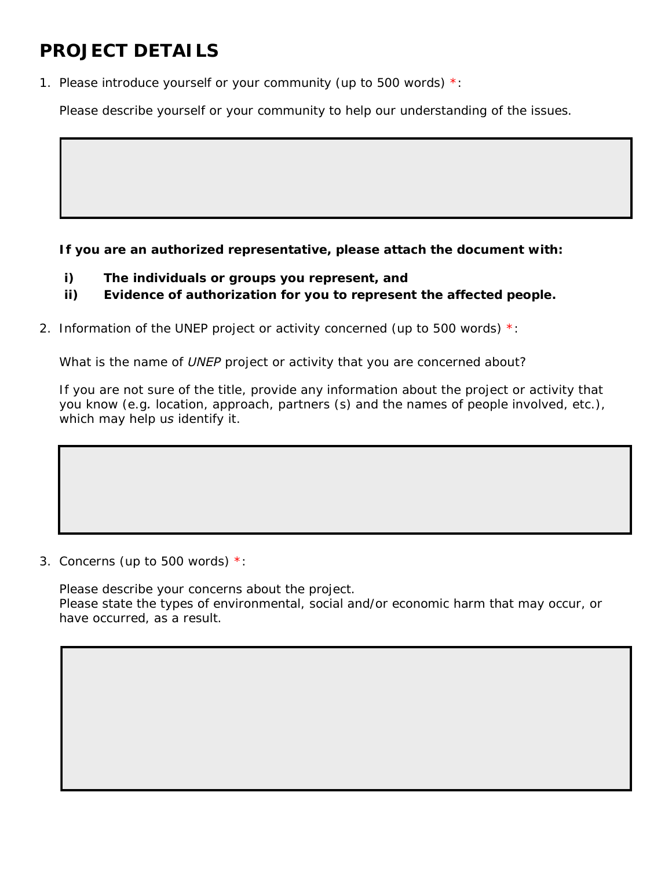## **PROJECT DETAILS**

1. Please introduce yourself or your community (up to 500 words)  $*$ :

*Please describe yourself or your community to help our understanding of the issues.*

**If you are an authorized representative, please attach the document with:** 

- **i) The individuals or groups you represent, and**
- **ii) Evidence of authorization for you to represent the affected people.**
- 2. Information of the UNEP project or activity concerned (up to 500 words)  $*$ :

*What is the name of UNEP project or activity that you are concerned about?*

*If you are not sure of the title, provide any information about the project or activity that you know (e.g. location, approach, partners (s) and the names of people involved, etc.), which may help us identify it.*

3. Concerns (up to 500 words) \*:

*Please describe your concerns about the project. Please state the types of environmental, social and/or economic harm that may occur, or have occurred, as a result.*